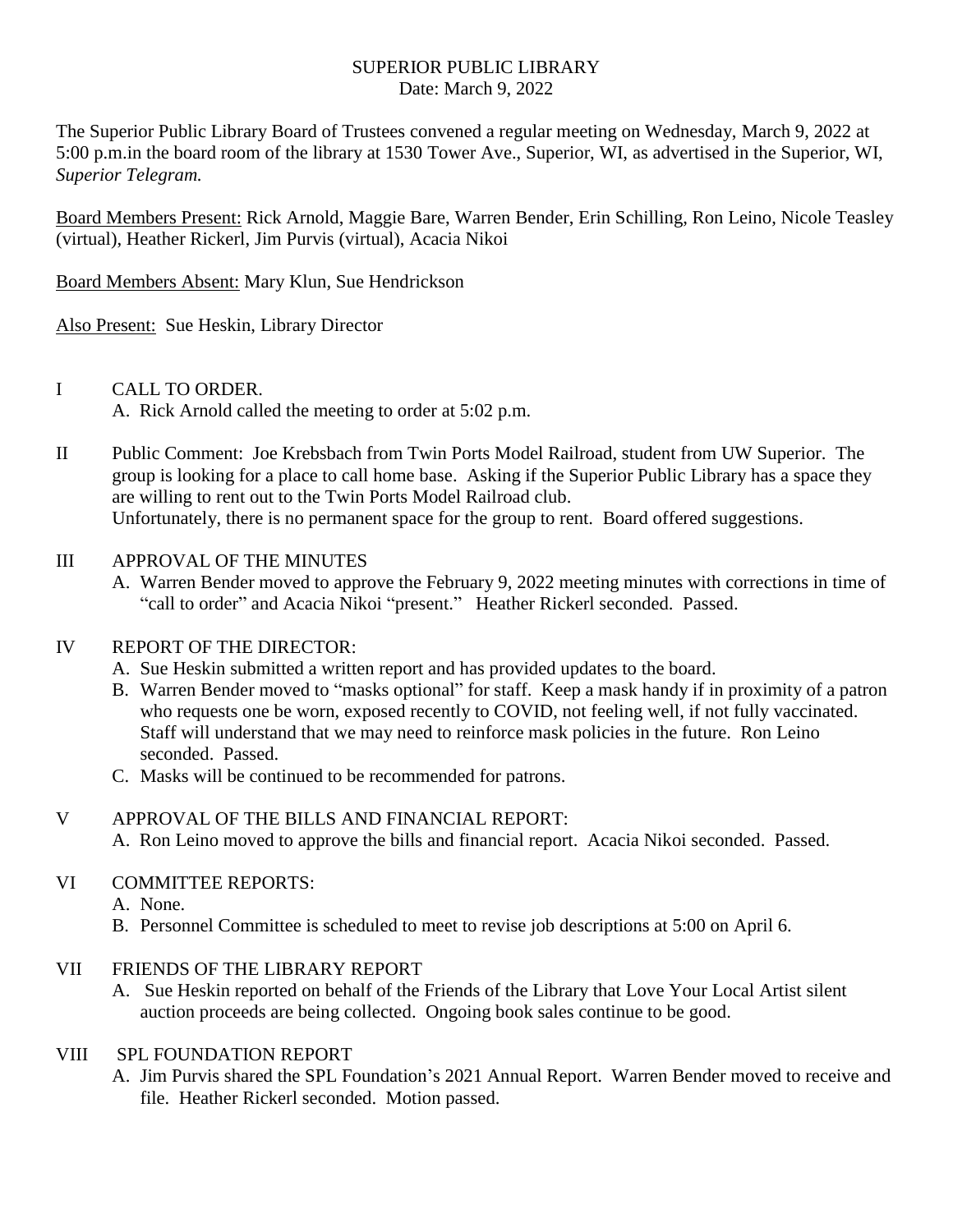#### SUPERIOR PUBLIC LIBRARY Date: March 9, 2022

The Superior Public Library Board of Trustees convened a regular meeting on Wednesday, March 9, 2022 at 5:00 p.m.in the board room of the library at 1530 Tower Ave., Superior, WI, as advertised in the Superior, WI, *Superior Telegram.*

Board Members Present: Rick Arnold, Maggie Bare, Warren Bender, Erin Schilling, Ron Leino, Nicole Teasley (virtual), Heather Rickerl, Jim Purvis (virtual), Acacia Nikoi

Board Members Absent: Mary Klun, Sue Hendrickson

Also Present: Sue Heskin, Library Director

# I CALL TO ORDER.

A. Rick Arnold called the meeting to order at 5:02 p.m.

II Public Comment: Joe Krebsbach from Twin Ports Model Railroad, student from UW Superior. The group is looking for a place to call home base. Asking if the Superior Public Library has a space they are willing to rent out to the Twin Ports Model Railroad club. Unfortunately, there is no permanent space for the group to rent. Board offered suggestions.

# III APPROVAL OF THE MINUTES

A. Warren Bender moved to approve the February 9, 2022 meeting minutes with corrections in time of "call to order" and Acacia Nikoi "present." Heather Rickerl seconded. Passed.

### IV REPORT OF THE DIRECTOR:

- A. Sue Heskin submitted a written report and has provided updates to the board.
- B. Warren Bender moved to "masks optional" for staff. Keep a mask handy if in proximity of a patron who requests one be worn, exposed recently to COVID, not feeling well, if not fully vaccinated. Staff will understand that we may need to reinforce mask policies in the future. Ron Leino seconded. Passed.
- C. Masks will be continued to be recommended for patrons.

# V APPROVAL OF THE BILLS AND FINANCIAL REPORT: A. Ron Leino moved to approve the bills and financial report. Acacia Nikoi seconded. Passed.

### VI COMMITTEE REPORTS:

- A. None.
- B. Personnel Committee is scheduled to meet to revise job descriptions at 5:00 on April 6.

### VII FRIENDS OF THE LIBRARY REPORT

A. Sue Heskin reported on behalf of the Friends of the Library that Love Your Local Artist silent auction proceeds are being collected. Ongoing book sales continue to be good.

### VIII SPL FOUNDATION REPORT

A. Jim Purvis shared the SPL Foundation's 2021 Annual Report. Warren Bender moved to receive and file. Heather Rickerl seconded. Motion passed.